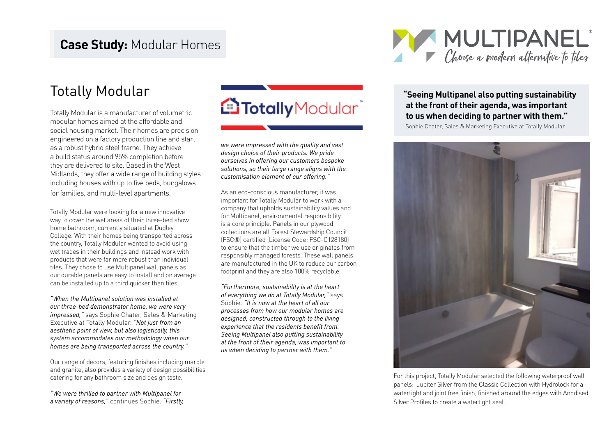### **Case Study:** Modular Homes



Totally Modular is a manufacturer of volumetric modular homes aimed at the affordable and social housing market. Their homes are precision engineered on a factory production line and start as a robust hybrid steel frame. They achieve a build status around 95% completion before they are delivered to site. Based in the West Midlands, they offer a wide range of building styles including houses with up to five beds, bungalows for families, and multi-level apartments.

Totally Modular were looking for a new innovative way to cover the wet areas of their three-bed show home bathroom, currently situated at Dudley College. With their homes being transported across the country, Totally Modular wanted to avoid using wet trades in their buildings and instead work with products that were far more robust than individual tiles. They chose to use Multipanel wall panels as our durable panels are easy to install and on average can be installed up to a third quicker than tiles.

*"When the Multipanel solution was installed at our three-bed demonstrator home, we were very impressed,"* says Sophie Chater, Sales & Marketing Executive at Totally Modular. *"Not just from an aesthetic point of view, but also logistically, this system accommodates our methodology when our homes are being transported across the country."* 

Our range of decors, featuring finishes including marble and granite, also provides a variety of design possibilities catering for any bathroom size and design taste.

*"We were thrilled to partner with Multipanel for a variety of reasons,"* continues Sophie. *"Firstly,* 

*we were impressed with the quality and vast design choice of their products. We pride ourselves in offering our customers bespoke solutions, so their large range aligns with the customisation element of our offering."* 

As an eco-conscious manufacturer, it was important for Totally Modular to work with a company that upholds sustainability values and for Multipanel, environmental responsibility is a core principle. Panels in our plywood collections are all Forest Stewardship Council (FSC®) certified (License Code: FSC-C128180) to ensure that the timber we use originates from responsibly managed forests. These wall panels are manufactured in the UK to reduce our carbon footprint and they are also 100% recyclable.

*"Furthermore, sustainability is at the heart of everything we do at Totally Modular,"* says Sophie. *"It is now at the heart of all our processes from how our modular homes are designed, constructed through to the living experience that the residents benefit from. Seeing Multipanel also putting sustainability at the front of their agenda, was important to us when deciding to partner with them."*

#### Totally Modular **"Seeing Multipanel also putting sustainability"**<br>
Totally Modular **"Seeing Multipanel also putting sustainability**<br>
Totally Modular **and the front of their agenda, was important at the front of their agenda, was important to us when deciding to partner with them."**

Sophie Chater, Sales & Marketing Executive at Totally Modular



For this project, Totally Modular selected the following waterproof wall panels: Jupiter Silver from the Classic Collection with Hydrolock for a watertight and joint free finish, finished around the edges with Anodised Silver Profiles to create a watertight seal.